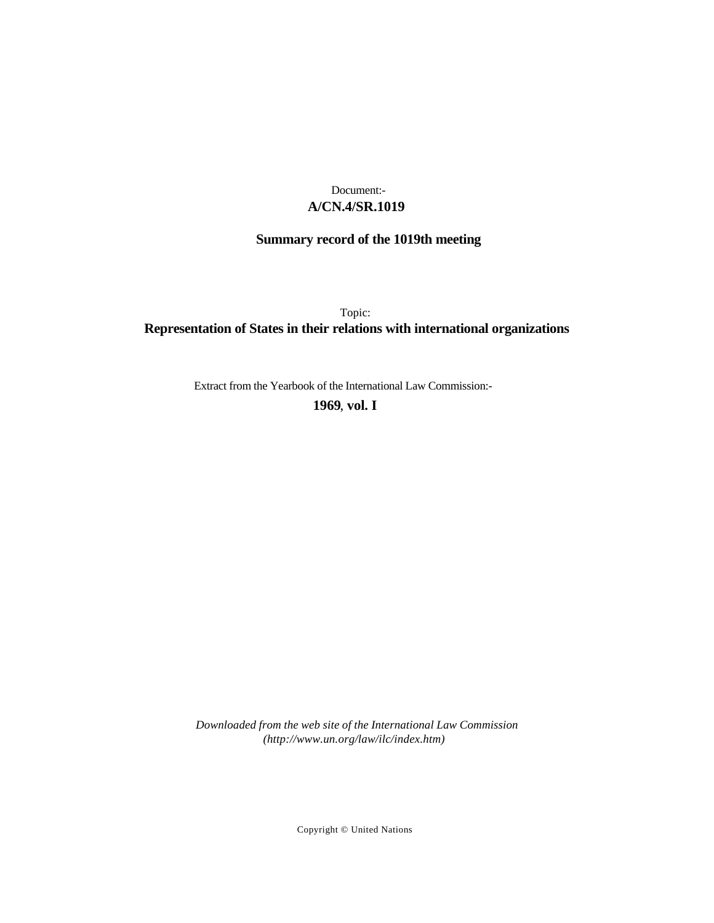## **A/CN.4/SR.1019** Document:-

# **Summary record of the 1019th meeting**

Topic: **Representation of States in their relations with international organizations**

Extract from the Yearbook of the International Law Commission:-

**1969** , **vol. I**

*Downloaded from the web site of the International Law Commission (http://www.un.org/law/ilc/index.htm)*

Copyright © United Nations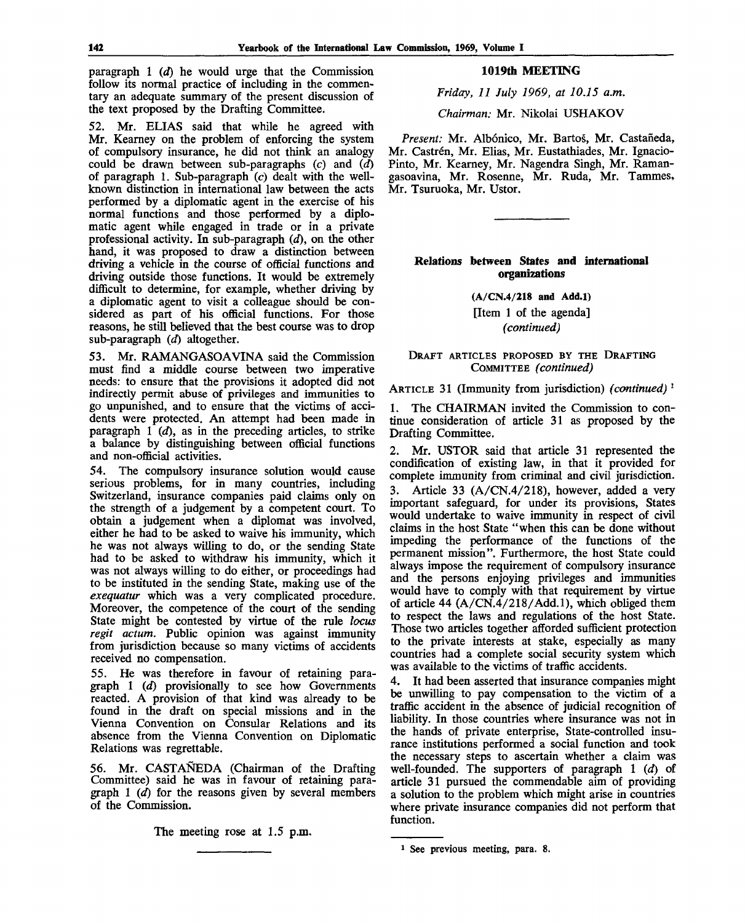paragraph 1 *(d)* he would urge that the Commission follow its normal practice of including in the commentary an adequate summary of the present discussion of the text proposed by the Drafting Committee.

52. Mr. ELIAS said that while he agreed with Mr. Kearney on the problem of enforcing the system of compulsory insurance, he did not think an analogy could be drawn between sub-paragraphs (c) and *(d)* of paragraph 1. Sub-paragraph  $(c)$  dealt with the wellknown distinction in international law between the acts performed by a diplomatic agent in the exercise of his normal functions and those performed by a diplomatic agent while engaged in trade or in a private professional activity. In sub-paragraph *(d),* on the other hand, it was proposed to draw a distinction between driving a vehicle in the course of official functions and driving outside those functions. It would be extremely difficult to determine, for example, whether driving by a diplomatic agent to visit a colleague should be considered as part of his official functions. For those reasons, he still believed that the best course was to drop sub-paragraph (d) altogether.

53. Mr. RAMANGASOAVINA said the Commission must find a middle course between two imperative needs: to ensure that the provisions it adopted did not indirectly permit abuse of privileges and immunities to go unpunished, and to ensure that the victims of accidents were protected. An attempt had been made in paragraph  $1 \dot{d}$ , as in the preceding articles, to strike a balance by distinguishing between official functions and non-official activities.

54. The compulsory insurance solution would cause serious problems, for in many countries, including Switzerland, insurance companies paid claims only on the strength of a judgement by a competent court. To obtain a judgement when a diplomat was involved, either he had to be asked to waive his immunity, which he was not always willing to do, or the sending State had to be asked to withdraw his immunity, which it was not always willing to do either, or proceedings had to be instituted in the sending State, making use of the *exequatur* which was a very complicated procedure. Moreover, the competence of the court of the sending State might be contested by virtue of the rule *locus regit actum.* Public opinion was against immunity from jurisdiction because so many victims of accidents received no compensation.

55. He was therefore in favour of retaining paragraph 1 *id)* provisionally to see how Governments reacted. A provision of that kind was already to be found in the draft on special missions and in the Vienna Convention on Consular Relations and its absence from the Vienna Convention on Diplomatic Relations was regrettable.

56. Mr. CASTANEDA (Chairman of the Drafting Committee) said he was in favour of retaining paragraph 1 *(d)* for the reasons given by several members of the Commission.

The meeting rose at 1.5 p.m.

## **1019th MEETING**

*Friday, 11 July 1969, at 10.15 a.m.*

*Chairman:* Mr. Nikolai USHAKOV

*Present:* Mr. Albonico, Mr. Bartos, Mr. Castafieda, Mr. Castrén, Mr. Elias, Mr. Eustathiades, Mr. Ignacio-Pinto, Mr. Kearney, Mr. Nagendra Singh, Mr. Ramangasoavina, Mr. Rosenne, Mr. Ruda, Mr. Tammes, Mr. Tsuruoka, Mr. Ustor.

## **Relations between States and international organizations**

**(A/CN.4/218 and Add.l)** [Item 1 of the agenda]

*(continued)*

DRAFT ARTICLES PROPOSED BY THE DRAFTING COMMITTEE *(continued)*

ARTICLE 31 (Immunity from jurisdiction) *(continued)* \*

1. The CHAIRMAN invited the Commission to continue consideration of article 31 as proposed by the Drafting Committee.

2. Mr. USTOR said that article 31 represented the condification of existing law, in that it provided for complete immunity from criminal and civil jurisdiction. 3. Article 33 (A/CN.4/218), however, added a very important safeguard, for under its provisions, States would undertake to waive immunity in respect of civil claims in the host State "when this can be done without impeding the performance of the functions of the permanent mission". Furthermore, the host State could always impose the requirement of compulsory insurance and the persons enjoying privileges and immunities would have to comply with that requirement by virtue of article 44  $(A/CN.4/218/Add.1)$ , which obliged them to respect the laws and regulations of the host State. Those two articles together afforded sufficient protection to the private interests at stake, especially as many countries had a complete social security system which was available to the victims of traffic accidents.

4. It had been asserted that insurance companies might be unwilling to pay compensation to the victim of a traffic accident in the absence of judicial recognition of liability. In those countries where insurance was not in the hands of private enterprise, State-controlled insurance institutions performed a social function and took the necessary steps to ascertain whether a claim was well-founded. The supporters of paragraph 1 *id)* of article 31 pursued the commendable aim of providing a solution to the problem which might arise in countries where private insurance companies did not perform that function.

<sup>1</sup> See previous meeting, para. 8.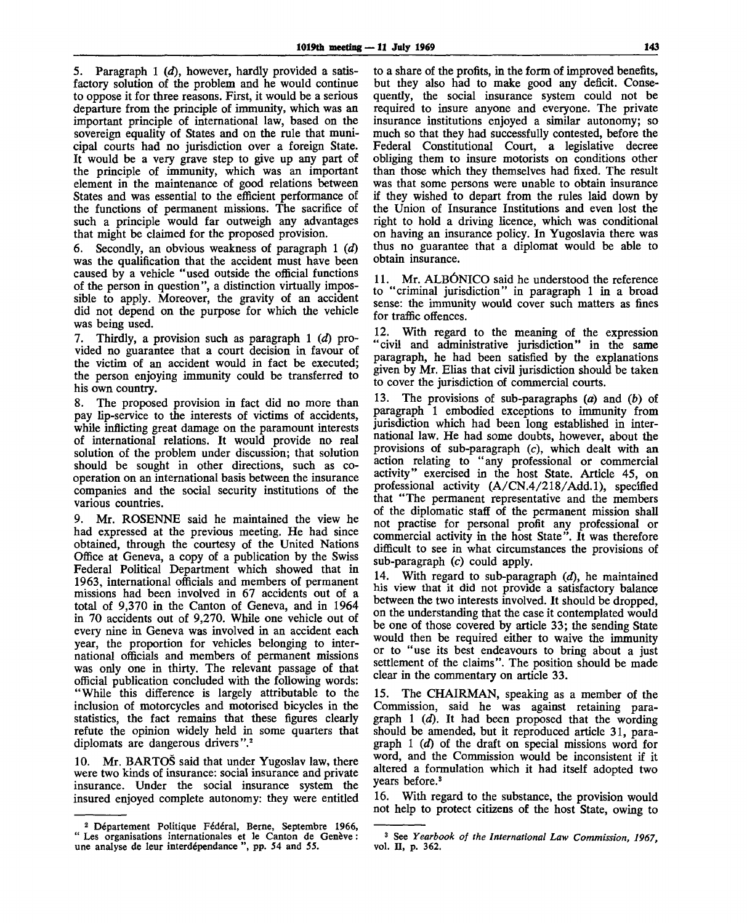5. Paragraph 1 *(d),* however, hardly provided a satisfactory solution of the problem and he would continue to oppose it for three reasons. First, it would be a serious departure from the principle of immunity, which was an important principle of international law, based on the sovereign equality of States and on the rule that municipal courts had no jurisdiction over a foreign State. It would be a very grave step to give up any part of the principle of immunity, which was an important element in the maintenance of good relations between States and was essential to the efficient performance of the functions of permanent missions. The sacrifice of such a principle would far outweigh any advantages that might be claimed for the proposed provision.

6. Secondly, an obvious weakness of paragraph 1 *(d)* was the qualification that the accident must have been caused by a vehicle "used outside the official functions of the person in question", a distinction virtually impossible to apply. Moreover, the gravity of an accident did not depend on the purpose for which the vehicle was being used.

7. Thirdly, a provision such as paragraph 1 *(d)* provided no guarantee that a court decision in favour of the victim of an accident would in fact be executed; the person enjoying immunity could be transferred to his own country.

8. The proposed provision in fact did no more than pay lip-service to the interests of victims of accidents, while inflicting great damage on the paramount interests of international relations. It would provide no real solution of the problem under discussion; that solution should be sought in other directions, such as cooperation on an international basis between the insurance companies and the social security institutions of the various countries.

9. Mr. ROSENNE said he maintained the view he had expressed at the previous meeting. He had since obtained, through the courtesy of the United Nations Office at Geneva, a copy of a publication by the Swiss Federal Political Department which showed that in 1963, international officials and members of permanent missions had been involved in 67 accidents out of a total of 9,370 in the Canton of Geneva, and in 1964 in 70 accidents out of 9,270. While one vehicle out of every nine in Geneva was involved in an accident each year, the proportion for vehicles belonging to international officials and members of permanent missions was only one in thirty. The relevant passage of that official publication concluded with the following words: "While this difference is largely attributable to the inclusion of motorcycles and motorised bicycles in the statistics, the fact remains that these figures clearly refute the opinion widely held in some quarters that diplomats are dangerous drivers".<sup>2</sup>

10. Mr. BARTOS said that under Yugoslav law, there were two kinds of insurance: social insurance and private insurance. Under the social insurance system the insured enjoyed complete autonomy: they were entitled

to a share of the profits, in the form of improved benefits, but they also had to make good any deficit. Consequently, the social insurance system could not be required to insure anyone and everyone. The private insurance institutions enjoyed a similar autonomy; so much so that they had successfully contested, before the Federal Constitutional Court, a legislative decree obliging them to insure motorists on conditions other than those which they themselves had fixed. The result was that some persons were unable to obtain insurance if they wished to depart from the rules laid down by the Union of Insurance Institutions and even lost the right to hold a driving licence, which was conditional on having an insurance policy. In Yugoslavia there was thus no guarantee that a diplomat would be able to obtain insurance.

11. Mr. ALBONICO said he understood the reference to "criminal jurisdiction" in paragraph 1 in a broad sense: the immunity would cover such matters as fines for traffic offences.

12. With regard to the meaning of the expression "civil and administrative jurisdiction" in the same paragraph, he had been satisfied by the explanations given by Mr. Elias that civil jurisdiction should be taken to cover the jurisdiction of commercial courts.

13. The provisions of sub-paragraphs *(a)* and *(b)* of paragraph 1 embodied exceptions to immunity from jurisdiction which had been long established in international law. He had some doubts, however, about the provisions of sub-paragraph (c), which dealt with an action relating to "any professional or commercial activity" exercised in the host State. Article 45, on professional activity (A/CN.4/218/Add.l), specified that "The permanent representative and the members of the diplomatic staff of the permanent mission shall not practise for personal profit any professional or commercial activity in the host State". It was therefore difficult to see in what circumstances the provisions of sub-paragraph  $(c)$  could apply.

14. With regard to sub-paragraph *id),* he maintained his view that it did not provide a satisfactory balance between the two interests involved. It should be dropped, on the understanding that the case it contemplated would be one of those covered by article 33; the sending State would then be required either to waive the immunity or to "use its best endeavours to bring about a just settlement of the claims". The position should be made clear in the commentary on article 33.

15. The CHAIRMAN, speaking as a member of the Commission, said he was against retaining paragraph 1 *(d).* It had been proposed that the wording should be amended, but it reproduced article 31, paragraph 1 *(d)* of the draft on special missions word for word, and the Commission would be inconsistent if it altered a formulation which it had itself adopted two years before.<sup>3</sup>

16. With regard to the substance, the provision would not help to protect citizens of the host State, owing to

<sup>&</sup>lt;sup>2</sup> Département Politique Fédéral, Berne, Septembre 1966, " Les organisations internationales et le Canton de Genève : une analyse de leur interdependance ", pp. 54 and 55.

<sup>3</sup> See *Yearbook of the International Law Commission, 1967,* vol. II, p. 362.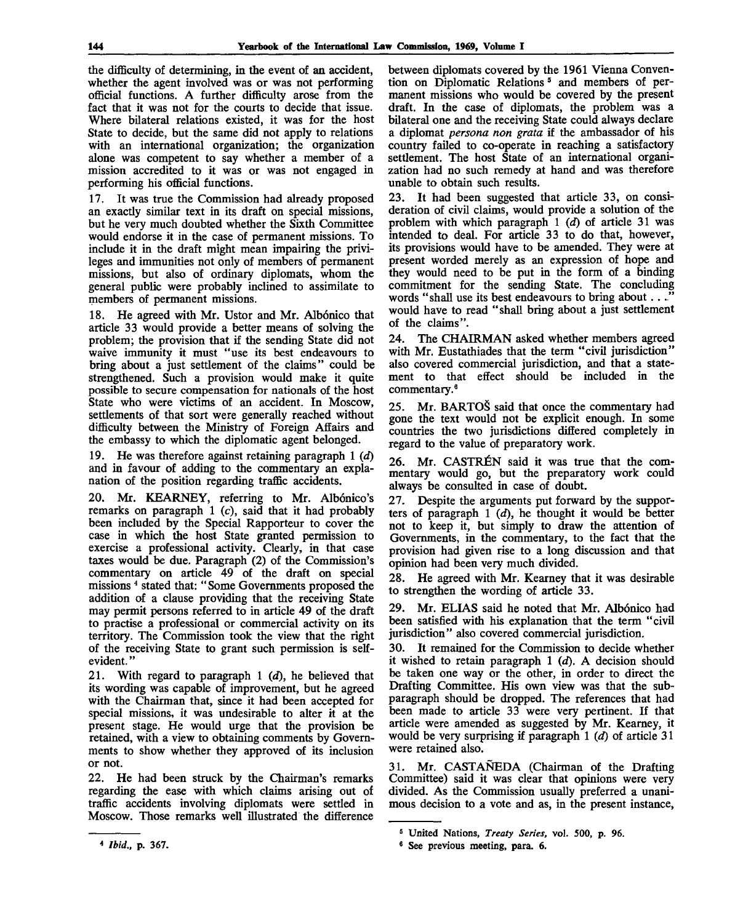the difficulty of determining, in the event of an accident, whether the agent involved was or was not performing official functions. A further difficulty arose from the fact that it was not for the courts to decide that issue. Where bilateral relations existed, it was for the host State to decide, but the same did not apply to relations with an international organization; the organization alone was competent to say whether a member of a mission accredited to it was or was not engaged in performing his official functions.

17. It was true the Commission had already proposed an exactly similar text in its draft on special missions, but he very much doubted whether the Sixth Committee would endorse it in the case of permanent missions. To include it in the draft might mean impairing the privileges and immunities not only of members of permanent missions, but also of ordinary diplomats, whom the general public were probably inclined to assimilate to members of permanent missions.

18. He agreed with Mr. Ustor and Mr. Albónico that article 33 would provide a better means of solving the problem; the provision that if the sending State did not waive immunity it must "use its best endeavours to bring about a just settlement of the claims" could be strengthened. Such a provision would make it quite possible to secure compensation for nationals of the host State who were victims of an accident. In Moscow, settlements of that sort were generally reached without difficulty between the Ministry of Foreign Affairs and the embassy to which the diplomatic agent belonged.

19. He was therefore against retaining paragraph 1 *(d)* and in favour of adding to the commentary an explanation of the position regarding traffic accidents.

20. Mr. KEARNEY, referring to Mr. Albónico's remarks on paragraph  $1$  (c), said that it had probably been included by the Special Rapporteur to cover the case in which the host State granted permission to exercise a professional activity. Clearly, in that case taxes would be due. Paragraph (2) of the Commission's commentary on article 49 of the draft on special missions <sup>4</sup> stated that: "Some Governments proposed the addition of a clause providing that the receiving State may permit persons referred to in article 49 of the draft to practise a professional or commercial activity on its territory. The Commission took the view that the right of the receiving State to grant such permission is selfevident. "

21. With regard to paragraph 1 *id),* he believed that its wording was capable of improvement, but he agreed with the Chairman that, since it had been accepted for special missions, it was undesirable to alter it at the present stage. He would urge that the provision be retained, with a view to obtaining comments by Governments to show whether they approved of its inclusion or not.

22. He had been struck by the Chairman's remarks regarding the ease with which claims arising out of traffic accidents involving diplomats were settled in Moscow. Those remarks well illustrated the difference between diplomats covered by the 1961 Vienna Convention on Diplomatic Relations <sup>5</sup> and members of permanent missions who would be covered by the present draft. In the case of diplomats, the problem was a bilateral one and the receiving State could always declare a diplomat *persona non grata* if the ambassador of his country failed to co-operate in reaching a satisfactory settlement. The host State of an international organization had no such remedy at hand and was therefore unable to obtain such results.

23. It had been suggested that article 33, on consideration of civil claims, would provide a solution of the problem with which paragraph 1 *id)* of article 31 was intended to deal. For article 33 to do that, however, its provisions would have to be amended. They were at present worded merely as an expression of hope and they would need to be put in the form of a binding commitment for the sending State. The concluding words "shall use its best endeavours to bring about... would have to read "shall bring about a just settlement of the claims".

24. The CHAIRMAN asked whether members agreed with Mr. Eustathiades that the term "civil jurisdiction" also covered commercial jurisdiction, and that a statement to that effect should be included in the commentary.<sup>6</sup>

25. Mr. BARTOS said that once the commentary had gone the text would not be explicit enough. In some countries the two jurisdictions differed completely in regard to the value of preparatory work.

26. Mr. CASTREN said it was true that the commentary would go, but the preparatory work could always be consulted in case of doubt.

27. Despite the arguments put forward by the supporters of paragraph 1 *(d),* he thought it would be better not to keep it, but simply to draw the attention of Governments, in the commentary, to the fact that the provision had given rise to a long discussion and that opinion had been very much divided.

28. He agreed with Mr. Kearney that it was desirable to strengthen the wording of article 33.

29. Mr. ELIAS said he noted that Mr. Albónico had been satisfied with his explanation that the term "civil jurisdiction" also covered commercial jurisdiction.

30. It remained for the Commission to decide whether it wished to retain paragraph 1 *(d).* A decision should be taken one way or the other, in order to direct the Drafting Committee. His own view was that the subparagraph should be dropped. The references that had been made to article 33 were very pertinent. If that article were amended as suggested by Mr. Kearney, it would be very surprising if paragraph 1 *id)* of article 31 were retained also.

31. Mr. CASTANEDA (Chairman of the Drafting Committee) said it was clear that opinions were very divided. As the Commission usually preferred a unanimous decision to a vote and as, in the present instance,

<sup>5</sup> United Nations, *Treaty Series,* vol. 500, p. 96.

<sup>&</sup>lt;sup>6</sup> See previous meeting, para. 6.

<sup>4</sup>  *Ibid.,* p. 367.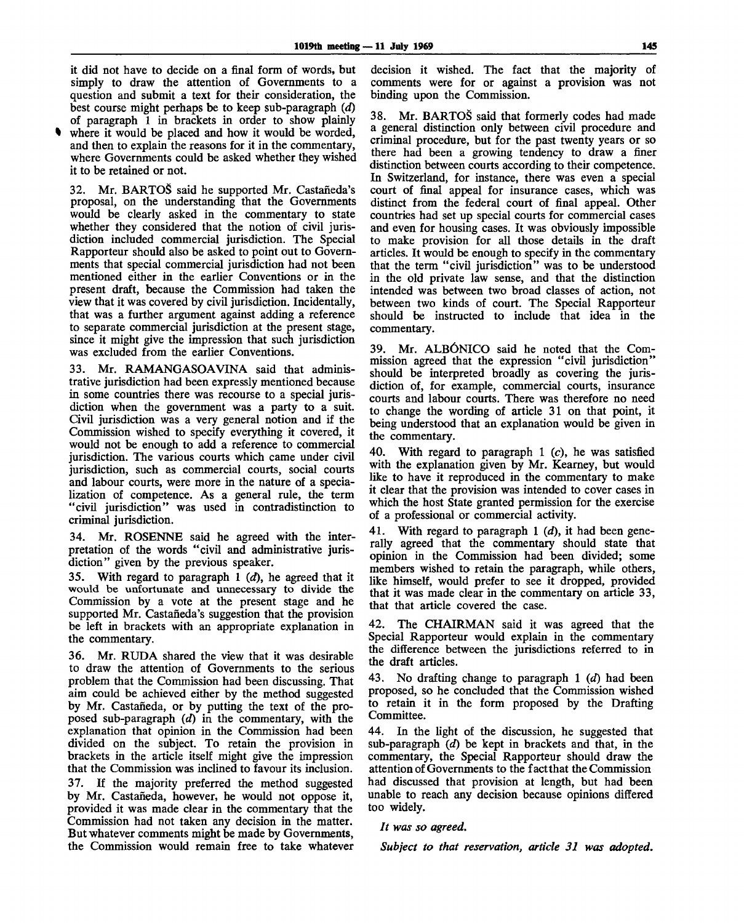it did not have to decide on a final form of words, but simply to draw the attention of Governments to a question and submit a text for their consideration, the best course might perhaps be to keep sub-paragraph *(d)* of paragraph 1 in brackets in order to show plainly

where it would be placed and how it would be worded, and then to explain the reasons for it in the commentary, where Governments could be asked whether they wished it to be retained or not.

32. Mr. BARTOS said he supported Mr. Castaneda's proposal, on the understanding that the Governments would be clearly asked in the commentary to state whether they considered that the notion of civil jurisdiction included commercial jurisdiction. The Special Rapporteur should also be asked to point out to Governments that special commercial jurisdiction had not been mentioned either in the earlier Conventions or in the present draft, because the Commission had taken the view that it was covered by civil jurisdiction. Incidentally, that was a further argument against adding a reference to separate commercial jurisdiction at the present stage, since it might give the impression that such jurisdiction was excluded from the earlier Conventions.

33. Mr. RAMANGASOAVINA said that administrative jurisdiction had been expressly mentioned because in some countries there was recourse to a special jurisdiction when the government was a party to a suit. Civil jurisdiction was a very general notion and if the Commission wished to specify everything it covered, it would not be enough to add a reference to commercial jurisdiction. The various courts which came under civil jurisdiction, such as commercial courts, social courts and labour courts, were more in the nature of a specialization of competence. As a general rule, the term "civil jurisdiction" was used in contradistinction to criminal jurisdiction.

34. Mr. ROSENNE said he agreed with the interpretation of the words "civil and administrative jurisdiction" given by the previous speaker.

35. With regard to paragraph 1 *id),* he agreed that it would be unfortunate and unnecessary to divide the Commission by a vote at the present stage and he supported Mr. Castañeda's suggestion that the provision be left in brackets with an appropriate explanation in the commentary.

36. Mr. RUDA shared the view that it was desirable to draw the attention of Governments to the serious problem that the Commission had been discussing. That aim could be achieved either by the method suggested by Mr. Castafieda, or by putting the text of the proposed sub-paragraph *(d)* in the commentary, with the explanation that opinion in the Commission had been divided on the subject. To retain the provision in brackets in the article itself might give the impression that the Commission was inclined to favour its inclusion. 37. If the majority preferred the method suggested by Mr. Castafieda, however, he would not oppose it, provided it was made clear in the commentary that the Commission had not taken any decision in the matter. But whatever comments might be made by Governments, the Commission would remain free to take whatever decision it wished. The fact that the majority of comments were for or against a provision was not binding upon the Commission.

38. Mr. BARTOS said that formerly codes had made a general distinction only between civil procedure and criminal procedure, but for the past twenty years or so there had been a growing tendency to draw a finer distinction between courts according to their competence. In Switzerland, for instance, there was even a special court of final appeal for insurance cases, which was distinct from the federal court of final appeal. Other countries had set up special courts for commercial cases and even for housing cases. It was obviously impossible to make provision for all those details in the draft articles. It would be enough to specify in the commentary that the term "civil jurisdiction" was to be understood in the old private law sense, and that the distinction intended was between two broad classes of action, not between two kinds of court. The Special Rapporteur should be instructed to include that idea in the commentary.

39. Mr. ALBÓNICO said he noted that the Commission agreed that the expression "civil jurisdiction" should be interpreted broadly as covering the jurisdiction of, for example, commercial courts, insurance courts and labour courts. There was therefore no need to change the wording of article 31 on that point, it being understood that an explanation would be given in the commentary.

40. With regard to paragraph 1  $(c)$ , he was satisfied with the explanation given by Mr. Kearney, but would like to have it reproduced in the commentary to make it clear that the provision was intended to cover cases in which the host State granted permission for the exercise of a professional or commercial activity.

41. With regard to paragraph 1 *(d),* it had been generally agreed that the commentary should state that opinion in the Commission had been divided; some members wished to retain the paragraph, while others, like himself, would prefer to see it dropped, provided that it was made clear in the commentary on article 33, that that article covered the case.

42. The CHAIRMAN said it was agreed that the Special Rapporteur would explain in the commentary the difference between the jurisdictions referred to in the draft articles.

43. No drafting change to paragraph 1 *id)* had been proposed, so he concluded that the Commission wished to retain it in the form proposed by the Drafting Committee.

44. In the light of the discussion, he suggested that sub-paragraph *(d)* be kept in brackets and that, in the commentary, the Special Rapporteur should draw the attention of Governments to the factthat the Commission had discussed that provision at length, but had been unable to reach any decision because opinions differed too widely.

### *It was so agreed.*

*Subject to that reservation, article 31 was adopted.*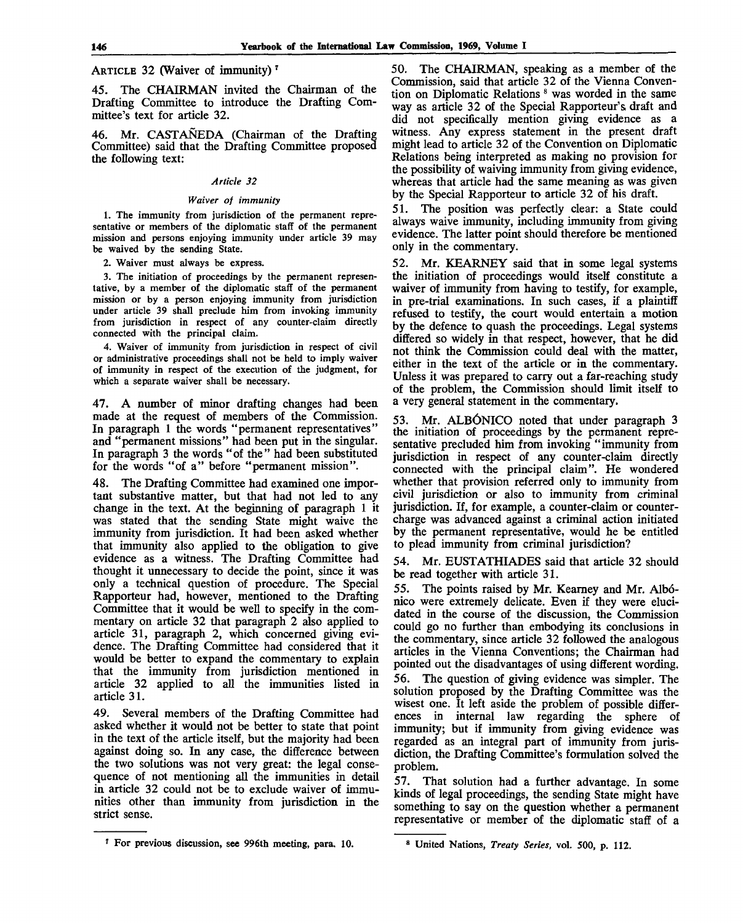ARTICLE 32 (Waiver of immunity)<sup>7</sup>

45. The CHAIRMAN invited the Chairman of the Drafting Committee to introduce the Drafting Committee's text for article 32.

46. Mr. CASTANEDA (Chairman of the Drafting Committee) said that the Drafting Committee proposed the following text:

## *Article 32*

#### *Waiver of immunity*

1. The immunity from jurisdiction of the permanent representative or members of the diplomatic staff of the permanent mission and persons enjoying immunity under article 39 may be waived by the sending State.

2. Waiver must always be express.

3. The initiation of proceedings by the permanent representative, by a member of the diplomatic staff of the permanent mission or by a person enjoying immunity from jurisdiction under article 39 shall preclude him from invoking immunity from jurisdiction in respect of any counter-claim directly connected with the principal claim.

4. Waiver of immunity from jurisdiction in respect of civil or administrative proceedings shall not be held to imply waiver of immunity in respect of the execution of the judgment, for which a separate waiver shall be necessary.

47. A number of minor drafting changes had been made at the request of members of the Commission. In paragraph 1 the words "permanent representatives" and "permanent missions" had been put in the singular. In paragraph 3 the words "of the" had been substituted for the words "of a" before "permanent mission".

48. The Drafting Committee had examined one important substantive matter, but that had not led to any change in the text. At the beginning of paragraph 1 it was stated that the sending State might waive the immunity from jurisdiction. It had been asked whether that immunity also applied to the obligation to give evidence as a witness. The Drafting Committee had thought it unnecessary to decide the point, since it was only a technical question of procedure. The Special Rapporteur had, however, mentioned to the Drafting Committee that it would be well to specify in the commentary on article 32 that paragraph 2 also applied to article 31, paragraph 2, which concerned giving evidence. The Drafting Committee had considered that it would be better to expand the commentary to explain that the immunity from jurisdiction mentioned in article 32 applied to all the immunities listed in article 31.

49. Several members of the Drafting Committee had asked whether it would not be better to state that point in the text of the article itself, but the majority had been against doing so. In any case, the difference between the two solutions was not very great: the legal consequence of not mentioning all the immunities in detail in article 32 could not be to exclude waiver of immunities other than immunity from jurisdiction in the strict sense.

50. The CHAIRMAN, speaking as a member of the Commission, said that article 32 of the Vienna Convention on Diplomatic Relations <sup>8</sup> was worded in the same way as article 32 of the Special Rapporteur's draft and did not specifically mention giving evidence as a witness. Any express statement in the present draft might lead to article 32 of the Convention on Diplomatic Relations being interpreted as making no provision for the possibility of waiving immunity from giving evidence, whereas that article had the same meaning as was given by the Special Rapporteur to article 32 of his draft.

51. The position was perfectly clear: a State could always waive immunity, including immunity from giving evidence. The latter point should therefore be mentioned only in the commentary.

52. Mr. KEARNEY said that in some legal systems the initiation of proceedings would itself constitute a waiver of immunity from having to testify, for example, in pre-trial examinations. In such cases, if a plaintiff refused to testify, the court would entertain a motion by the defence to quash the proceedings. Legal systems differed so widely in that respect, however, that he did not think the Commission could deal with the matter, either in the text of the article or in the commentary. Unless it was prepared to carry out a far-reaching study of the problem, the Commission should limit itself to a very general statement in the commentary.

53. Mr. ALBÓNICO noted that under paragraph 3 the initiation of proceedings by the permanent representative precluded him from invoking "immunity from jurisdiction in respect of any counter-claim directly connected with the principal claim". He wondered whether that provision referred only to immunity from civil jurisdiction or also to immunity from criminal jurisdiction. If, for example, a counter-claim or countercharge was advanced against a criminal action initiated by the permanent representative, would he be entitled to plead immunity from criminal jurisdiction?

54. Mr. EUSTATHIADES said that article 32 should be read together with article 31.

55. The points raised by Mr. Kearney and Mr. Albonico were extremely delicate. Even if they were elucidated in the course of the discussion, the Commission could go no further than embodying its conclusions in the commentary, since article 32 followed the analogous articles in the Vienna Conventions; the Chairman had pointed out the disadvantages of using different wording. 56. The question of giving evidence was simpler. The solution proposed by the Drafting Committee was the wisest one. It left aside the problem of possible differences in internal law regarding the sphere of immunity; but if immunity from giving evidence was regarded as an integral part of immunity from jurisdiction, the Drafting Committee's formulation solved the problem.

57. That solution had a further advantage. In some kinds of legal proceedings, the sending State might have something to say on the question whether a permanent representative or member of the diplomatic staff of a

<sup>7</sup> For previous discussion, see 996th meeting, para. 10.

<sup>8</sup> United Nations, *Treaty Series,* vol. 500, p. 112.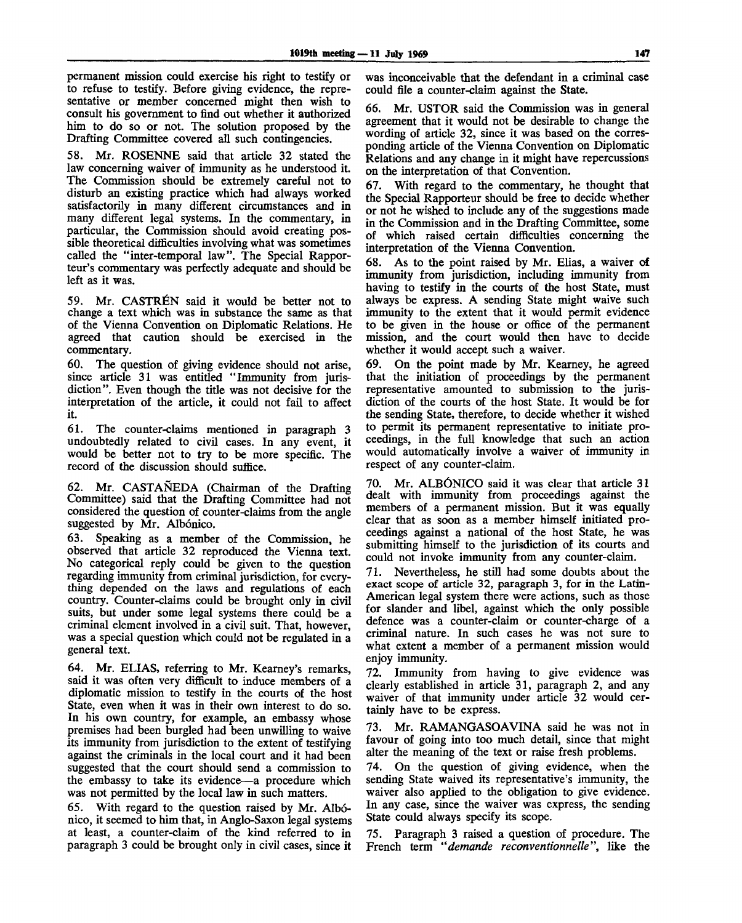permanent mission could exercise his right to testify or to refuse to testify. Before giving evidence, the representative or member concerned might then wish to consult his government to find out whether it authorized him to do so or not. The solution proposed by the Drafting Committee covered all such contingencies.

58. Mr. ROSENNE said that article 32 stated the law concerning waiver of immunity as he understood it. The Commission should be extremely careful not to disturb an existing practice which had always worked satisfactorily in many different circumstances and in many different legal systems. In the commentary, in particular, the Commission should avoid creating possible theoretical difficulties involving what was sometimes called the "inter-temporal law". The Special Rapporteur's commentary was perfectly adequate and should be left as it was.

59. Mr. CASTRÉN said it would be better not to change a text which was in substance the same as that of the Vienna Convention on Diplomatic Relations. He agreed that caution should be exercised in the commentary.

60. The question of giving evidence should not arise, since article 31 was entitled "Immunity from jurisdiction". Even though the title was not decisive for the interpretation of the article, it could not fail to affect it.

61. The counter-claims mentioned in paragraph 3 undoubtedly related to civil cases. In any event, it would be better not to try to be more specific. The record of the discussion should suffice.

62. Mr. CASTANEDA (Chairman of the Drafting Committee) said that the Drafting Committee had not considered the question of counter-claims from the angle suggested by Mr. Albónico.

63. Speaking as a member of the Commission, he observed that article 32 reproduced the Vienna text. No categorical reply could be given to the question regarding immunity from criminal jurisdiction, for everything depended on the laws and regulations of each country. Counter-claims could be brought only in civil suits, but under some legal systems there could be a criminal element involved in a civil suit. That, however, was a special question which could not be regulated in a general text.

64. Mr. ELIAS, referring to Mr. Kearney's remarks, said it was often very difficult to induce members of a diplomatic mission to testify in the courts of the host State, even when it was in their own interest to do so. In his own country, for example, an embassy whose premises had been burgled had been unwilling to waive its immunity from jurisdiction to the extent of testifying against the criminals in the local court and it had been suggested that the court should send a commission to the embassy to take its evidence—a procedure which was not permitted by the local law in such matters.

65. With regard to the question raised by Mr. Albonico, it seemed to him that, in Anglo-Saxon legal systems at least, a counter-claim of the kind referred to in paragraph 3 could be brought only in civil cases, since it was inconceivable that the defendant in a criminal case could file a counter-claim against the State.

66. Mr. USTOR said the Commission was in general agreement that it would not be desirable to change the wording of article 32, since it was based on the corresponding article of the Vienna Convention on Diplomatic Relations and any change in it might have repercussions on the interpretation of that Convention.

67. With regard to the commentary, he thought that the Special Rapporteur should be free to decide whether or not he wished to include any of the suggestions made in the Commission and in the Drafting Committee, some of which raised certain difficulties concerning the interpretation of the Vienna Convention.

68. As to the point raised by Mr. Elias, a waiver of immunity from jurisdiction, including immunity from having to testify in the courts of the host State, must always be express. A sending State might waive such immunity to the extent that it would permit evidence to be given in the house or office of the permanent mission, and the court would then have to decide whether it would accept such a waiver.

69. On the point made by Mr. Kearney, he agreed that the initiation of proceedings by the permanent representative amounted to submission to the jurisdiction of the courts of the host State. It would be for the sending State, therefore, to decide whether it wished to permit its permanent representative to initiate proceedings, in the full knowledge that such an action would automatically involve a waiver of immunity in respect of any counter-claim.

70. Mr. ALBÓNICO said it was clear that article 31 dealt with immunity from proceedings against the members of a permanent mission. But it was equally clear that as soon as a member himself initiated proceedings against a national of the host State, he was submitting himself to the jurisdiction of its courts and could not invoke immunity from any counter-claim.

71. Nevertheless, he still had some doubts about the exact scope of article 32, paragraph 3, for in the Latin-American legal system there were actions, such as those for slander and libel, against which the only possible defence was a counter-claim or counter-charge of a criminal nature. In such cases he was not sure to what extent a member of a permanent mission would enjoy immunity.

72. Immunity from having to give evidence was clearly established in article 31, paragraph 2, and any waiver of that immunity under article 32 would certainly have to be express.

73. Mr. RAMANGASOAVINA said he was not in favour of going into too much detail, since that might alter the meaning of the text or raise fresh problems.

74. On the question of giving evidence, when the sending State waived its representative's immunity, the waiver also applied to the obligation to give evidence. In any case, since the waiver was express, the sending State could always specify its scope.

75. Paragraph 3 raised a question of procedure. The French term *"demande reconventionnetle",* like the